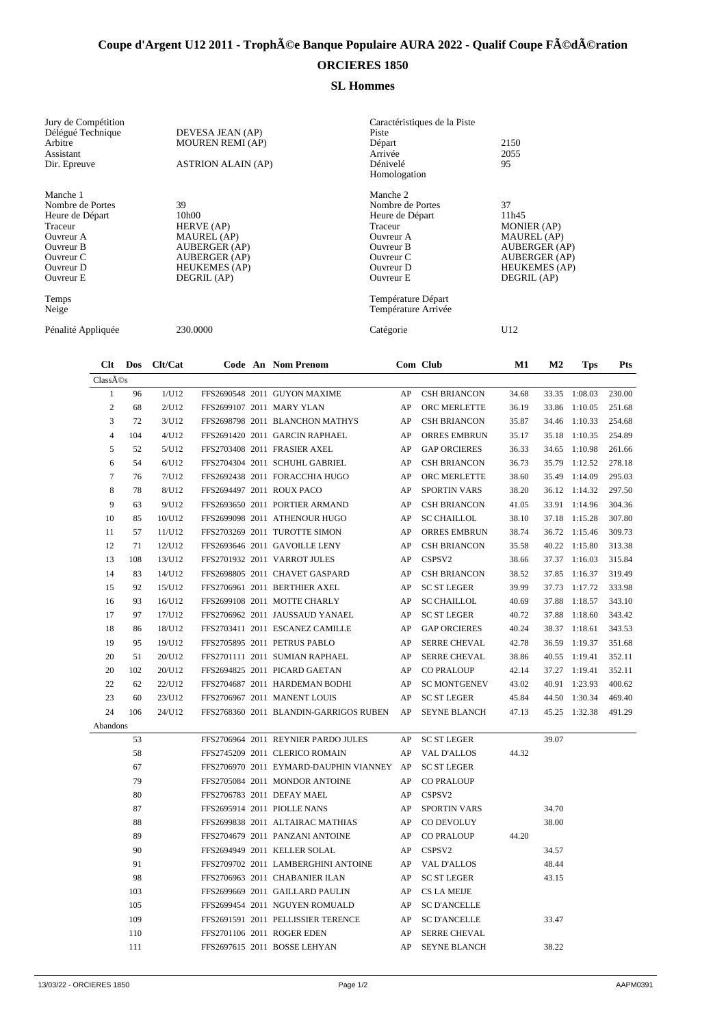## Coupe d'Argent U12 2011 - Trophée Banque Populaire AURA 2022 - Qualif Coupe Fédération

## **ORCIERES 1850**

## **SL Hommes**

| Clt<br>Dos<br>~ ~            | Clt/Cat<br>Code An Nom Prenom | Com Club                                  | M1<br>M <sub>2</sub><br><b>Tps</b> | <b>Pts</b> |
|------------------------------|-------------------------------|-------------------------------------------|------------------------------------|------------|
| Pénalité Appliquée           | 230.0000                      | Catégorie                                 | U12                                |            |
| Temps<br>Neige               |                               | Température Départ<br>Température Arrivée |                                    |            |
| Ouvreur E                    | DEGRIL (AP)                   | Ouvreur E                                 | DEGRIL (AP)                        |            |
| Ouvreur D                    | <b>HEUKEMES</b> (AP)          | Ouvreur D                                 | <b>HEUKEMES</b> (AP)               |            |
| Ouvreur C                    | <b>AUBERGER (AP)</b>          | Ouvreur C                                 | <b>AUBERGER (AP)</b>               |            |
| Ouvreur B                    | <b>AUBERGER (AP)</b>          | <b>Ouvreur B</b>                          | <b>AUBERGER (AP)</b>               |            |
| Ouvreur A                    | <b>MAUREL</b> (AP)            | Ouvreur A                                 | <b>MAUREL</b> (AP)                 |            |
| Traceur                      | HERVE (AP)                    | Traceur                                   | <b>MONIER</b> (AP)                 |            |
| Heure de Départ              | 10h00                         | Heure de Départ                           | 11h45                              |            |
| Manche 1<br>Nombre de Portes | 39                            | Manche 2<br>Nombre de Portes              | 37                                 |            |
| Dir. Epreuve                 | <b>ASTRION ALAIN (AP)</b>     | Dénivelé<br>Homologation                  | 95                                 |            |
| Assistant                    |                               | Arrivée                                   | 2055                               |            |
| Arbitre                      | <b>MOUREN REMI (AP)</b>       | Départ                                    | 2150                               |            |
| Délégué Technique            | DEVESA JEAN (AP)              | Piste                                     |                                    |            |
| Jury de Compétition          |                               | Caractéristiques de la Piste              |                                    |            |

| Classés          |     |        |                              |                                        |            |                     |       |       |               |        |
|------------------|-----|--------|------------------------------|----------------------------------------|------------|---------------------|-------|-------|---------------|--------|
| $\mathbf{1}$     | 96  | 1/U12  |                              | FFS2690548 2011 GUYON MAXIME           | AP         | <b>CSH BRIANCON</b> | 34.68 |       | 33.35 1:08.03 | 230.00 |
| $\overline{c}$   | 68  | 2/U12  | FFS2699107 2011 MARY YLAN    |                                        | AP         | ORC MERLETTE        | 36.19 | 33.86 | 1:10.05       | 251.68 |
| 3                | 72  | 3/U12  |                              | FFS2698798 2011 BLANCHON MATHYS        | AP         | <b>CSH BRIANCON</b> | 35.87 | 34.46 | 1:10.33       | 254.68 |
| $\overline{4}$   | 104 | 4/U12  |                              | FFS2691420 2011 GARCIN RAPHAEL         | AP         | <b>ORRES EMBRUN</b> | 35.17 | 35.18 | 1:10.35       | 254.89 |
| 5                | 52  | 5/U12  | FFS2703408 2011 FRASIER AXEL |                                        | AP         | <b>GAP ORCIERES</b> | 36.33 | 34.65 | 1:10.98       | 261.66 |
| 6                | 54  | 6/U12  |                              | FFS2704304 2011 SCHUHL GABRIEL         | AP         | <b>CSH BRIANCON</b> | 36.73 | 35.79 | 1:12.52       | 278.18 |
| $\boldsymbol{7}$ | 76  | 7/U12  |                              | FFS2692438 2011 FORACCHIA HUGO         | AP         | ORC MERLETTE        | 38.60 | 35.49 | 1:14.09       | 295.03 |
| 8                | 78  | 8/U12  | FFS2694497 2011 ROUX PACO    |                                        | AP         | SPORTIN VARS        | 38.20 |       | 36.12 1:14.32 | 297.50 |
| 9                | 63  | 9/U12  |                              | FFS2693650 2011 PORTIER ARMAND         | AP         | <b>CSH BRIANCON</b> | 41.05 |       | 33.91 1:14.96 | 304.36 |
| 10               | 85  | 10/U12 |                              | FFS2699098 2011 ATHENOUR HUGO          | AP         | <b>SC CHAILLOL</b>  | 38.10 | 37.18 | 1:15.28       | 307.80 |
| 11               | 57  | 11/U12 |                              | FFS2703269 2011 TUROTTE SIMON          | AP         | <b>ORRES EMBRUN</b> | 38.74 |       | 36.72 1:15.46 | 309.73 |
| 12               | 71  | 12/U12 |                              | FFS2693646 2011 GAVOILLE LENY          | AP         | <b>CSH BRIANCON</b> | 35.58 | 40.22 | 1:15.80       | 313.38 |
| 13               | 108 | 13/U12 | FFS2701932 2011 VARROT JULES |                                        | AP         | CSPSV2              | 38.66 |       | 37.37 1:16.03 | 315.84 |
| 14               | 83  | 14/U12 |                              | FFS2698805 2011 CHAVET GASPARD         | AP         | <b>CSH BRIANCON</b> | 38.52 |       | 37.85 1:16.37 | 319.49 |
| 15               | 92  | 15/U12 |                              | FFS2706961 2011 BERTHIER AXEL          | AP         | <b>SC ST LEGER</b>  | 39.99 |       | 37.73 1:17.72 | 333.98 |
| 16               | 93  | 16/U12 |                              | FFS2699108 2011 MOTTE CHARLY           | AP         | <b>SC CHAILLOL</b>  | 40.69 | 37.88 | 1:18.57       | 343.10 |
| 17               | 97  | 17/U12 |                              | FFS2706962 2011 JAUSSAUD YANAEL        | AP         | <b>SC ST LEGER</b>  | 40.72 | 37.88 | 1:18.60       | 343.42 |
| 18               | 86  | 18/U12 |                              | FFS2703411 2011 ESCANEZ CAMILLE        | AP         | <b>GAP ORCIERES</b> | 40.24 | 38.37 | 1:18.61       | 343.53 |
| 19               | 95  | 19/U12 | FFS2705895 2011 PETRUS PABLO |                                        | AP         | <b>SERRE CHEVAL</b> | 42.78 | 36.59 | 1:19.37       | 351.68 |
| 20               | 51  | 20/U12 |                              | FFS2701111 2011 SUMIAN RAPHAEL         | AP         | <b>SERRE CHEVAL</b> | 38.86 | 40.55 | 1:19.41       | 352.11 |
| 20               | 102 | 20/U12 |                              | FFS2694825 2011 PICARD GAETAN          | AP         | <b>CO PRALOUP</b>   | 42.14 |       | 37.27 1:19.41 | 352.11 |
| 22               | 62  | 22/U12 |                              | FFS2704687 2011 HARDEMAN BODHI         | AP         | <b>SC MONTGENEV</b> | 43.02 | 40.91 | 1:23.93       | 400.62 |
| 23               | 60  | 23/U12 | FFS2706967 2011 MANENT LOUIS |                                        | AP         | <b>SC ST LEGER</b>  | 45.84 |       | 44.50 1:30.34 | 469.40 |
| 24               | 106 | 24/U12 |                              | FFS2768360 2011 BLANDIN-GARRIGOS RUBEN | AP         | <b>SEYNE BLANCH</b> | 47.13 |       | 45.25 1:32.38 | 491.29 |
| Abandons         |     |        |                              |                                        |            |                     |       |       |               |        |
|                  | 53  |        |                              | FFS2706964 2011 REYNIER PARDO JULES    | AP         | <b>SC ST LEGER</b>  |       | 39.07 |               |        |
|                  | 58  |        |                              | FFS2745209 2011 CLERICO ROMAIN         | AP         | <b>VAL D'ALLOS</b>  | 44.32 |       |               |        |
|                  | 67  |        |                              | FFS2706970 2011 EYMARD-DAUPHIN VIANNEY | AP         | <b>SC ST LEGER</b>  |       |       |               |        |
|                  | 79  |        |                              | FFS2705084 2011 MONDOR ANTOINE         | AP         | <b>CO PRALOUP</b>   |       |       |               |        |
|                  | 80  |        | FFS2706783 2011 DEFAY MAEL   |                                        | AP         | CSPSV <sub>2</sub>  |       |       |               |        |
|                  | 87  |        | FFS2695914 2011 PIOLLE NANS  |                                        | AP         | <b>SPORTIN VARS</b> |       | 34.70 |               |        |
|                  | 88  |        |                              | FFS2699838 2011 ALTAIRAC MATHIAS       | AP         | CO DEVOLUY          |       | 38.00 |               |        |
|                  | 89  |        |                              | FFS2704679 2011 PANZANI ANTOINE        | AP         | <b>CO PRALOUP</b>   | 44.20 |       |               |        |
|                  | 90  |        | FFS2694949 2011 KELLER SOLAL |                                        | ${\sf AP}$ | CSPSV <sub>2</sub>  |       | 34.57 |               |        |
|                  | 91  |        |                              | FFS2709702 2011 LAMBERGHINI ANTOINE    | AP         | <b>VAL D'ALLOS</b>  |       | 48.44 |               |        |
|                  | 98  |        |                              | FFS2706963 2011 CHABANIER ILAN         | AP         | <b>SC ST LEGER</b>  |       | 43.15 |               |        |
|                  | 103 |        |                              | FFS2699669 2011 GAILLARD PAULIN        | AP         | CS LA MEIJE         |       |       |               |        |
|                  | 105 |        |                              | FFS2699454 2011 NGUYEN ROMUALD         | AP         | <b>SC D'ANCELLE</b> |       |       |               |        |
|                  | 109 |        |                              | FFS2691591 2011 PELLISSIER TERENCE     | AP         | <b>SC D'ANCELLE</b> |       | 33.47 |               |        |
|                  | 110 |        | FFS2701106 2011 ROGER EDEN   |                                        | AP         | <b>SERRE CHEVAL</b> |       |       |               |        |
|                  | 111 |        |                              | FFS2697615 2011 BOSSE LEHYAN           | AP         | <b>SEYNE BLANCH</b> |       | 38.22 |               |        |
|                  |     |        |                              |                                        |            |                     |       |       |               |        |